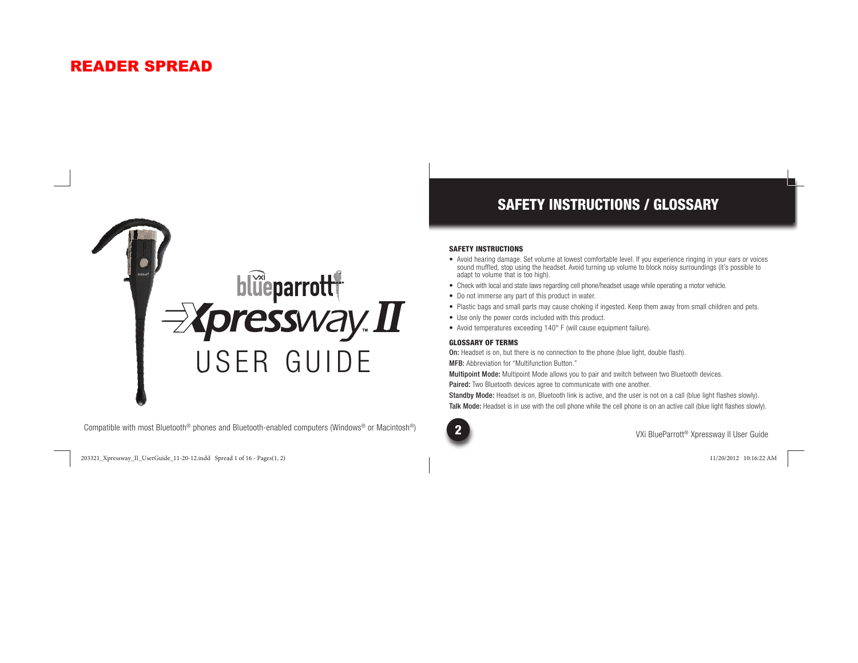## READER SPREAD



Compatible with most Bluetooth® phones and Bluetooth-enabled computers (Windows® or Macintosh®)

203321\_Xpressway\_II\_UserGuide\_11-20-12.indd Spread 1 of 16 - Pages(1, 2) 03321\_Xpressway\_II\_UserGuide\_11-20-12.indd 11/20/2012 10:16:22 AM 1/20/2012

## SAFETY INSTRUCTIONS / GLOSSARY

#### SAFETY INSTRUCTIONS

- Avoid hearing damage. Set volume at lowest comfortable level. If you experience ringing in your ears or voices sound muffled, stop using the headset. Avoid turning up volume to block noisy surroundings (it's possible to adapt to volume that is too high).
- Check with local and state laws regarding cell phone/headset usage while operating a motor vehicle.
- Do not immerse any part of this product in water.
- Plastic bags and small parts may cause choking if ingested. Keep them away from small children and pets.
- Use only the power cords included with this product.
- Avoid temperatures exceeding 140° F (will cause equipment failure).

#### GLOSSARY OF TERMS

On: Headset is on, but there is no connection to the phone (blue light, double flash).

MFB: Abbreviation for "Multifunction Button."

Multipoint Mode: Multipoint Mode allows you to pair and switch between two Bluetooth devices.

Paired: Two Bluetooth devices agree to communicate with one another.

Standby Mode: Headset is on, Bluetooth link is active, and the user is not on a call (blue light flashes slowly). Talk Mode: Headset is in use with the cell phone while the cell phone is on an active call (blue light flashes slowly).

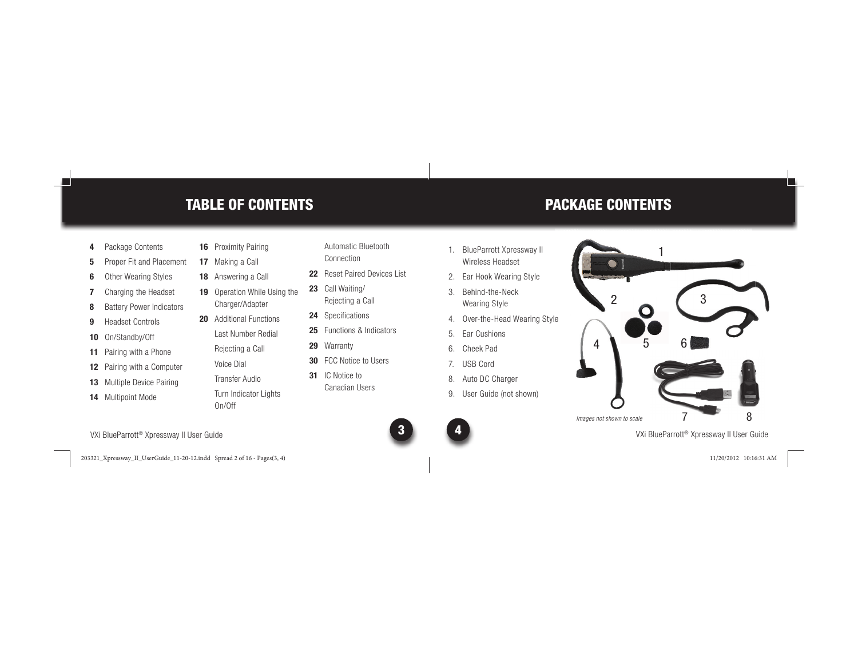## TABLE OF CONTENTS

- **4** Package Contents
- **5** Proper Fit and Placement
- **6** Other Wearing Styles
- **7** Charging the Headset
- **8** Battery Power Indicators
- **9** Headset Controls
- **10** On/Standby/Off
- **11** Pairing with a Phone
- **12** Pairing with a Computer
- **13** Multiple Device Pairing
- **14** Multipoint Mode
- **16** Proximity Pairing **17** Making a Call
- **18** Answering a Call
- **19** Operation While Using the Charger/Adapter
- **20** Additional Functions
	- Last Number Redial
	- Rejecting a Call
	- Voice DialTransfer Audio
	- Turn Indicator Lights On/Off
- Automatic BluetoothConnection
- **22** Reset Paired Devices List
- **23** Call Waiting/ Rejecting a Call
- **24** Specifications
- **25** Functions & Indicators
- **29** Warranty
- **30** FCC Notice to Users
- **31** IC Notice to Canadian Users
- 1. BlueParrott Xpressway II Wireless Headset
- 2. Ear Hook Wearing Style
- 3. Behind-the-Neck Wearing Style
- 4. Over-the-Head Wearing Style
- 5. Ear Cushions
- 6. Cheek Pad
- 7. USB Cord
- 8. Auto DC Charger
- 9. User Guide (not shown)



1

PACKAGE CONTENTS

VXi BlueParrott® Xpressway II User Guide

VXi BlueParrott® Xpressway II User Guide <sup>3</sup>

203321\_Xpressway\_II\_UserGuide\_11-20-12.indd Spread 2 of 16 - Pages(3, 4) 03321\_Xpressway\_II\_UserGuide\_11-20-12.indd 11/20/2012 10:16:31 AM 1/20/2012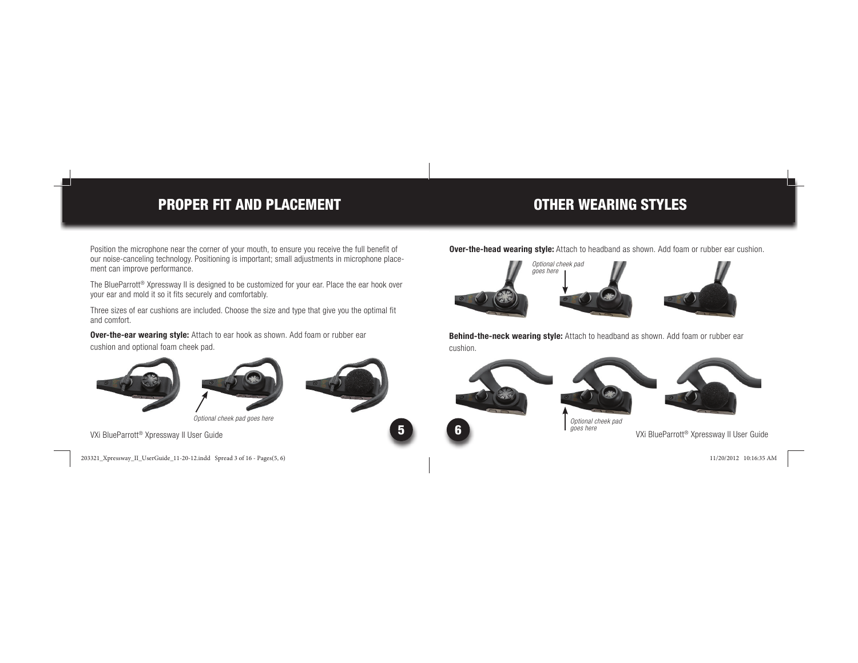## PROPER FIT AND PLACEMENT

OTHER WEARING STYLES

Position the microphone near the corner of your mouth, to ensure you receive the full benefit of our noise-canceling technology. Positioning is important; small adjustments in microphone placement can improve performance.

The BlueParrott<sup>®</sup> Xpressway II is designed to be customized for your ear. Place the ear hook over your ear and mold it so it fits securely and comfortably.

Three sizes of ear cushions are included. Choose the size and type that give you the optimal fit and comfort.

**Over-the-ear wearing style:** Attach to ear hook as shown. Add foam or rubber ear cushion and optional foam cheek pad.





*Optional cheek pad goes here*

VXi BlueParrott® Xpressway II User Guide <sup>5</sup>

203321\_Xpressway\_II\_UserGuide\_11-20-12.indd Spread 3 of 16 - Pages(5, 6) 03321\_Xpressway\_II\_UserGuide\_11-20-12.indd 11/20/2012 10:16:35 AM 1/20/2012

**Over-the-head wearing style:** Attach to headband as shown. Add foam or rubber ear cushion.







**Behind-the-neck wearing style:** Attach to headband as shown. Add foam or rubber ear cushion.





*Optional cheek pad goes here*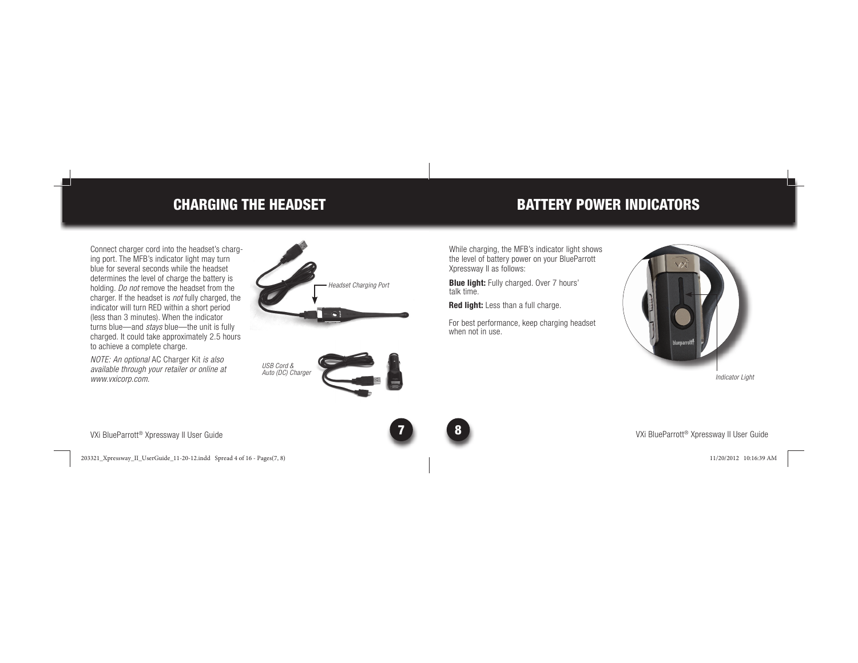## CHARGING THE HEADSET

Connect charger cord into the headset's charging port. The MFB's indicator light may turn blue for several seconds while the headset determines the level of charge the battery is holding. *Do not* remove the headset from the charger. If the headset is *not* fully charged, the indicator will turn RED within a short period (less than 3 minutes). When the indicator turns blue—and *stays* blue—the unit is fully charged. It could take approximately 2.5 hours to achieve a complete charge.

*NOTE: An optional* AC Charger Kit *is also available through your retailer or online at www.vxicorp.com.*

VXi BlueParrott® Xpressway II User Guide <sup>7</sup>

203321\_Xpressway\_II\_UserGuide\_11-20-12.indd Spread 4 of 16 - Pages(7, 8) 03321\_Xpressway\_II\_UserGuide\_11-20-12.indd 11/20/2012 10:16:39 AM 1/20/2012





## BATTERY POWER INDICATORS

While charging, the MFB's indicator light shows the level of battery power on your BlueParrott Xpressway II as follows:

**Blue light:** Fully charged. Over 7 hours' talk time.

**Red light:** Less than a full charge.

For best performance, keep charging headset when not in use.



*Indicator Light*

VXi BlueParrott® Xpressway II User Guide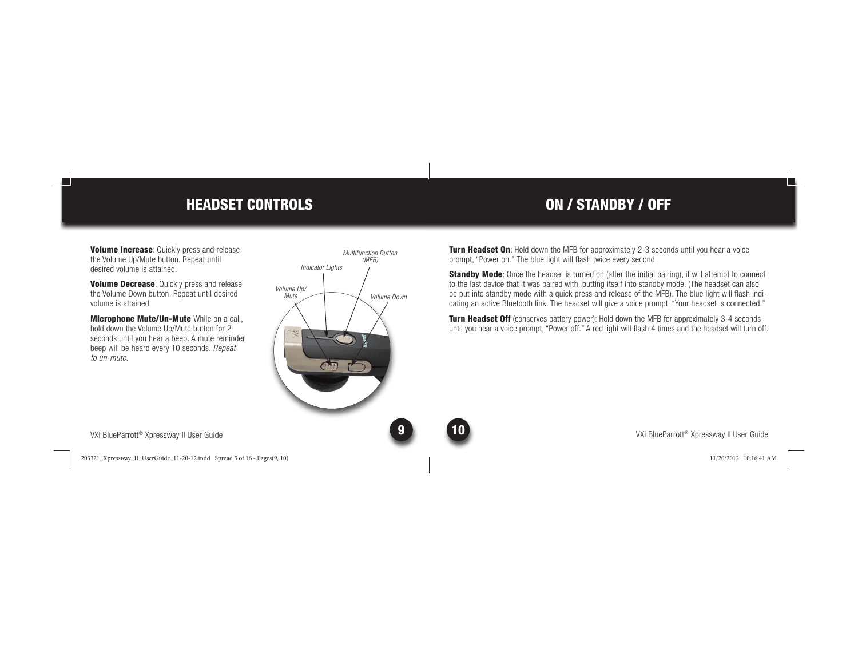## HEADSET CONTROLS

**Volume Increase:** Quickly press and release the Volume Up/Mute button. Repeat until desired volume is attained.

**Volume Decrease: Quickly press and release** the Volume Down button. Repeat until desired volume is attained.

Microphone Mute/Un-Mute While on a call, hold down the Volume Up/Mute button for 2 seconds until you hear a beep. A mute reminder beep will be heard every 10 seconds. *Repeat to un-mute*.



ON / STANDBY / OFF

**Turn Headset On:** Hold down the MFB for approximately 2-3 seconds until you hear a voice prompt, "Power on." The blue light will flash twice every second.

Standby Mode: Once the headset is turned on (after the initial pairing), it will attempt to connect to the last device that it was paired with, putting itself into standby mode. (The headset can also be put into standby mode with a quick press and release of the MFB). The blue light will flash indicating an active Bluetooth link. The headset will give a voice prompt, "Your headset is connected."

Turn Headset Off (conserves battery power): Hold down the MFB for approximately 3-4 seconds until you hear a voice prompt, "Power off." A red light will flash 4 times and the headset will turn off.

VXi BlueParrott® Xpressway II User Guide <sup>9</sup>

203321\_Xpressway\_II\_UserGuide\_11-20-12.indd Spread 5 of 16 - Pages(9, 10) 03321\_Xpressway\_II\_UserGuide\_11-20-12.indd 11/20/2012 10:16:41 AM 1/20/2012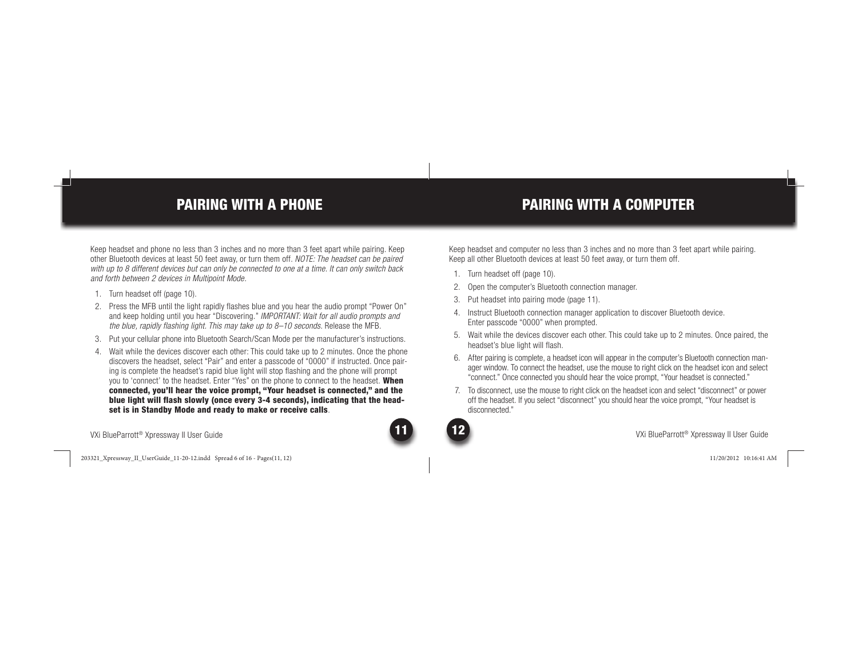## PAIRING WITH A PHONE

Keep headset and phone no less than 3 inches and no more than 3 feet apart while pairing. Keep other Bluetooth devices at least 50 feet away, or turn them off. *NOTE: The headset can be paired with up to 8 different devices but can only be connected to one at a time. It can only switch back and forth between 2 devices in Multipoint Mode.*

- 1. Turn headset off (page 10).
- 2. Press the MFB until the light rapidly flashes blue and you hear the audio prompt "Power On" and keep holding until you hear "Discovering." *IMPORTANT: Wait for all audio prompts and the blue, rapidly flashing light. This may take up to 8–10 seconds.* Release the MFB.
- 3. Put your cellular phone into Bluetooth Search/Scan Mode per the manufacturer's instructions.
- 4. Wait while the devices discover each other: This could take up to 2 minutes. Once the phone discovers the headset, select "Pair" and enter a passcode of "0000" if instructed. Once pairing is complete the headset's rapid blue light will stop flashing and the phone will prompt you to 'connect' to the headset. Enter "Yes" on the phone to connect to the headset. When connected, you'll hear the voice prompt, "Your headset is connected," and the blue light will flash slowly (once every 3-4 seconds), indicating that the headset is in Standby Mode and ready to make or receive calls.

VXi BlueParrott® Xpressway II User Guide

203321\_Xpressway\_II\_UserGuide\_11-20-12.indd Spread 6 of 16 - Pages(11, 12) 03321\_Xpressway\_II\_UserGuide\_11-20-12.indd 11/20/2012 10:16:41 AM 1/20/2012

## PAIRING WITH A COMPUTER

Keep headset and computer no less than 3 inches and no more than 3 feet apart while pairing. Keep all other Bluetooth devices at least 50 feet away, or turn them off.

- 1. Turn headset off (page 10).
- 2. Open the computer's Bluetooth connection manager.
- 3. Put headset into pairing mode (page 11).
- 4. Instruct Bluetooth connection manager application to discover Bluetooth device. Enter passcode "0000" when prompted.
- 5. Wait while the devices discover each other. This could take up to 2 minutes. Once paired, the headset's blue light will flash.
- 6. After pairing is complete, a headset icon will appear in the computer's Bluetooth connection manager window. To connect the headset, use the mouse to right click on the headset icon and select "connect." Once connected you should hear the voice prompt, "Your headset is connected."
- 7. To disconnect, use the mouse to right click on the headset icon and select "disconnect" or power off the headset. If you select "disconnect" you should hear the voice prompt, "Your headset is disconnected."

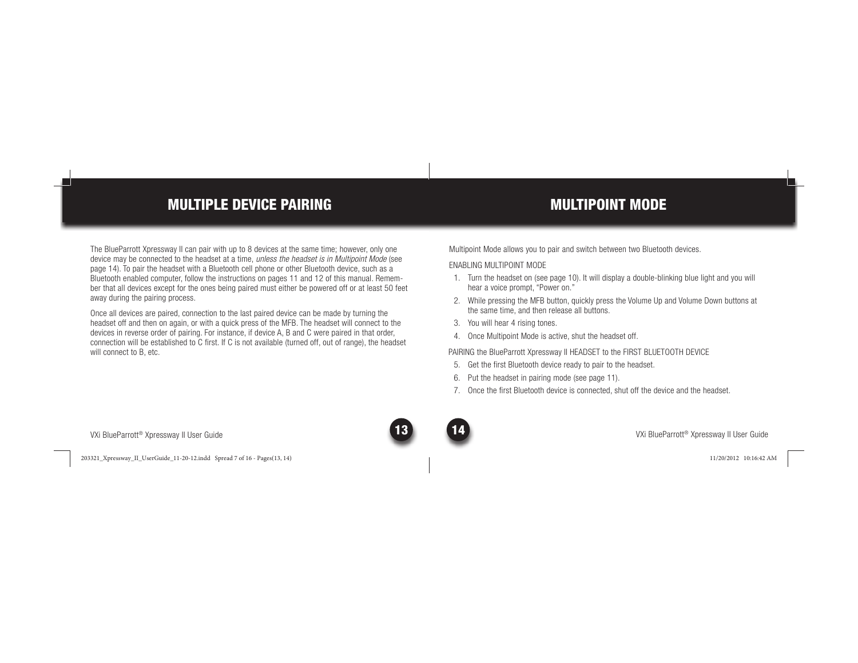## MULTIPLE DEVICE PAIRING

The BlueParrott Xpressway II can pair with up to 8 devices at the same time; however, only one device may be connected to the headset at a time, *unless the headset is in Multipoint Mode* (see page 14). To pair the headset with a Bluetooth cell phone or other Bluetooth device, such as a Bluetooth enabled computer, follow the instructions on pages 11 and 12 of this manual. Remember that all devices except for the ones being paired must either be powered off or at least 50 feet away during the pairing process.

Once all devices are paired, connection to the last paired device can be made by turning the headset off and then on again, or with a quick press of the MFB. The headset will connect to the devices in reverse order of pairing. For instance, if device A, B and C were paired in that order, connection will be established to C first. If C is not available (turned off, out of range), the headset will connect to B, etc.

## MULTIPOINT MODE

Multipoint Mode allows you to pair and switch between two Bluetooth devices.

## ENABLING MULTIPOINT MODE

- 1. Turn the headset on (see page 10). It will display a double-blinking blue light and you will hear a voice prompt, "Power on."
- 2. While pressing the MFB button, quickly press the Volume Up and Volume Down buttons at the same time, and then release all buttons.
- 3. You will hear 4 rising tones.
- 4. Once Multipoint Mode is active, shut the headset off.

PAIRING the BlueParrott Xpressway II HEADSET to the FIRST BLUETOOTH DEVICE

- 5. Get the first Bluetooth device ready to pair to the headset.
- 6. Put the headset in pairing mode (see page 11).
- 7. Once the first Bluetooth device is connected, shut off the device and the headset.

VXi BlueParrott® Xpressway II User Guide

203321\_Xpressway\_II\_UserGuide\_11-20-12.indd Spread 7 of 16 - Pages(13, 14) 03321\_Xpressway\_II\_UserGuide\_11-20-12.indd 11/20/2012 10:16:42 AM 1/20/2012

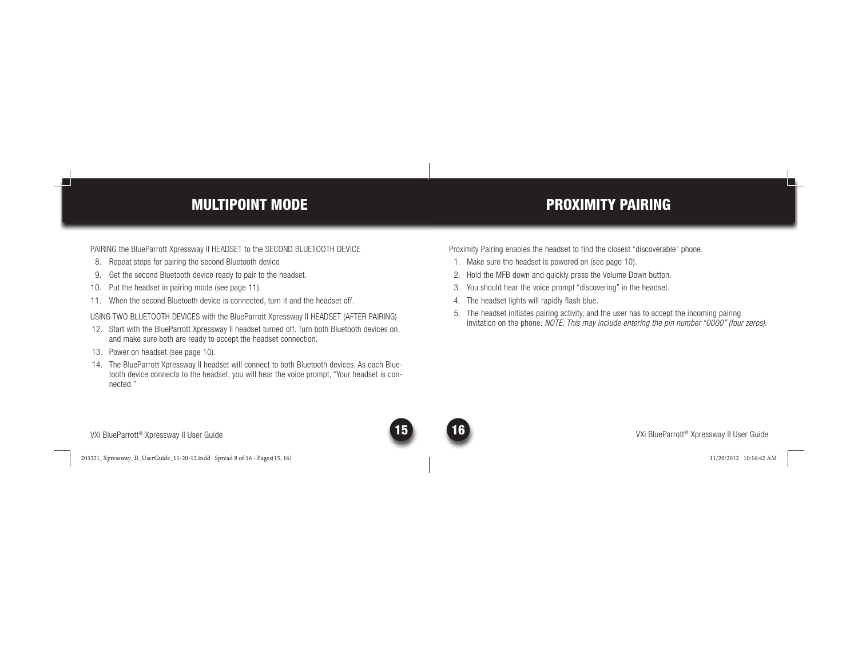## MULTIPOINT MODE

PAIRING the BlueParrott Xpressway II HEADSET to the SECOND BLUETOOTH DEVICE

- 8. Repeat steps for pairing the second Bluetooth device
- 9. Get the second Bluetooth device ready to pair to the headset.
- 10. Put the headset in pairing mode (see page 11).
- 11. When the second Bluetooth device is connected, turn it and the headset off.

USING TWO BLUETOOTH DEVICES with the BlueParrott Xpressway II HEADSET (AFTER PAIRING)

- 12. Start with the BlueParrott Xpressway II headset turned off. Turn both Bluetooth devices on, and make sure both are ready to accept the headset connection.
- 13. Power on headset (see page 10).
- 14. The BlueParrott Xpressway II headset will connect to both Bluetooth devices. As each Bluetooth device connects to the headset, you will hear the voice prompt, "Your headset is connected."

## PROXIMITY PAIRING

Proximity Pairing enables the headset to find the closest "discoverable" phone.

- 1. Make sure the headset is powered on (see page 10).
- 2. Hold the MFB down and quickly press the Volume Down button.
- 3. You should hear the voice prompt "discovering" in the headset.
- 4. The headset lights will rapidly flash blue.
- 5. The headset initiates pairing activity, and the user has to accept the incoming pairing invitation on the phone. *NOTE: This may include entering the pin number "0000" (four zeros).*

VXi BlueParrott® Xpressway II User Guide

203321\_Xpressway\_II\_UserGuide\_11-20-12.indd Spread 8 of 16 - Pages(15, 16) 03321\_Xpressway\_II\_UserGuide\_11-20-12.indd 11/20/2012 10:16:42 AM 1/20/2012



VXi BlueParrott® Xpressway II User Guide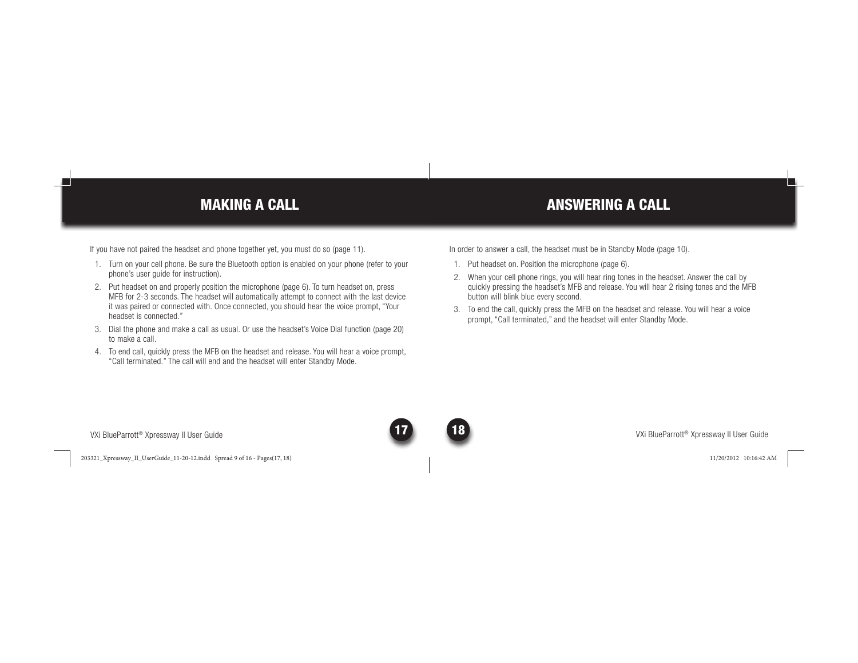## MAKING A CALL

If you have not paired the headset and phone together yet, you must do so (page 11).

- 1. Turn on your cell phone. Be sure the Bluetooth option is enabled on your phone (refer to your phone's user guide for instruction).
- 2. Put headset on and properly position the microphone (page 6). To turn headset on, press MFB for 2-3 seconds. The headset will automatically attempt to connect with the last device it was paired or connected with. Once connected, you should hear the voice prompt, "Your headset is connected."
- 3. Dial the phone and make a call as usual. Or use the headset's Voice Dial function (page 20) to make a call.
- 4. To end call, quickly press the MFB on the headset and release. You will hear a voice prompt, "Call terminated." The call will end and the headset will enter Standby Mode.

In order to answer a call, the headset must be in Standby Mode (page 10).

- 1. Put headset on. Position the microphone (page 6).
- 2. When your cell phone rings, you will hear ring tones in the headset. Answer the call by quickly pressing the headset's MFB and release. You will hear 2 rising tones and the MFB button will blink blue every second.

ANSWERING A CALL

 3. To end the call, quickly press the MFB on the headset and release. You will hear a voice prompt, "Call terminated," and the headset will enter Standby Mode.

VXi BlueParrott® Xpressway II User Guide <sup>17</sup>

203321\_Xpressway\_II\_UserGuide\_11-20-12.indd Spread 9 of 16 - Pages(17, 18) 03321\_Xpressway\_II\_UserGuide\_11-20-12.indd 11/20/2012 10:16:42 AM 1/20/2012

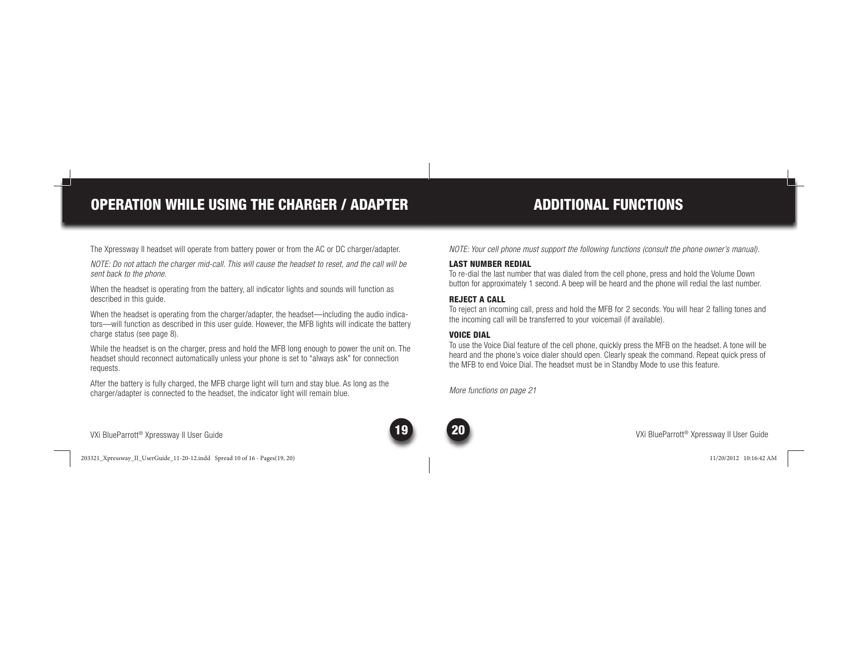# OPERATION WHILE USING THE CHARGER / ADAPTER

## ADDITIONAL FUNCTIONS

The Xpressway II headset will operate from battery power or from the AC or DC charger/adapter.

*NOTE: Do not attach the charger mid-call. This will cause the headset to reset, and the call will be sent back to the phone.*

When the headset is operating from the battery, all indicator lights and sounds will function as described in this guide.

When the headset is operating from the charger/adapter, the headset—including the audio indicators—will function as described in this user guide. However, the MFB lights will indicate the battery charge status (see page 8).

While the headset is on the charger, press and hold the MFB long enough to power the unit on. The headset should reconnect automatically unless your phone is set to "always ask" for connection requests.

After the battery is fully charged, the MFB charge light will turn and stay blue. As long as the charger/adapter is connected to the headset, the indicator light will remain blue.

*NOTE: Your cell phone must support the following functions (consult the phone owner's manual).*

### LAST NUMBER REDIAL

 To re-dial the last number that was dialed from the cell phone, press and hold the Volume Down button for approximately 1 second. A beep will be heard and the phone will redial the last number.

#### REJECT A CALL

To reject an incoming call, press and hold the MFB for 2 seconds. You will hear 2 falling tones and the incoming call will be transferred to your voicemail (if available).

## VOICE DIAL

To use the Voice Dial feature of the cell phone, quickly press the MFB on the headset. A tone will be heard and the phone's voice dialer should open. Clearly speak the command. Repeat quick press of the MFB to end Voice Dial. The headset must be in Standby Mode to use this feature.

*More functions on page 21*



203321\_Xpressway\_II\_UserGuide\_11-20-12.indd Spread 10 of 16 - Pages(19, 20) 03321\_Xpressway\_II\_UserGuide\_11-20-12.indd 11/20/2012 10:16:42 AM 1/20/2012

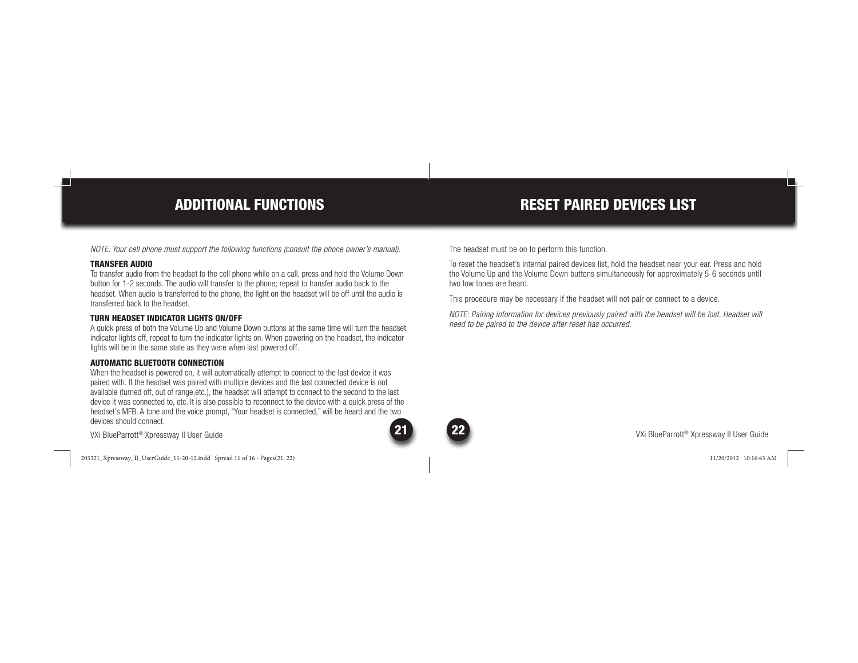## ADDITIONAL FUNCTIONS

*NOTE: Your cell phone must support the following functions (consult the phone owner's manual).*

#### TRANSFER AUDIO

 To transfer audio from the headset to the cell phone while on a call, press and hold the Volume Down button for 1-2 seconds. The audio will transfer to the phone; repeat to transfer audio back to the headset. When audio is transferred to the phone, the light on the headset will be off until the audio is transferred back to the headset.

### TURN HEADSET INDICATOR LIGHTS ON/OFF

A quick press of both the Volume Up and Volume Down buttons at the same time will turn the headset indicator lights off, repeat to turn the indicator lights on. When powering on the headset, the indicator lights will be in the same state as they were when last powered off.

#### AUTOMATIC BLUETOOTH CONNECTION

When the headset is powered on, it will automatically attempt to connect to the last device it was paired with. If the headset was paired with multiple devices and the last connected device is not available (turned off, out of range,etc.), the headset will attempt to connect to the second to the last device it was connected to, etc. It is also possible to reconnect to the device with a quick press of the headset's MFB. A tone and the voice prompt, "Your headset is connected," will be heard and the two devices should connect.

VXi BlueParrott® Xpressway II User Guide

203321\_Xpressway\_II\_UserGuide\_11-20-12.indd Spread 11 of 16 - Pages(21, 22) 03321\_Xpressway\_II\_UserGuide\_11-20-12.indd 11/20/2012 10:16:43 AM 1/20/2012

The headset must be on to perform this function.

To reset the headset's internal paired devices list, hold the headset near your ear. Press and hold the Volume Up and the Volume Down buttons simultaneously for approximately 5-6 seconds until two low tones are heard.

RESET PAIRED DEVICES LIST

This procedure may be necessary if the headset will not pair or connect to a device.

*NOTE: Pairing information for devices previously paired with the headset will be lost. Headset will need to be paired to the device after reset has occurred.*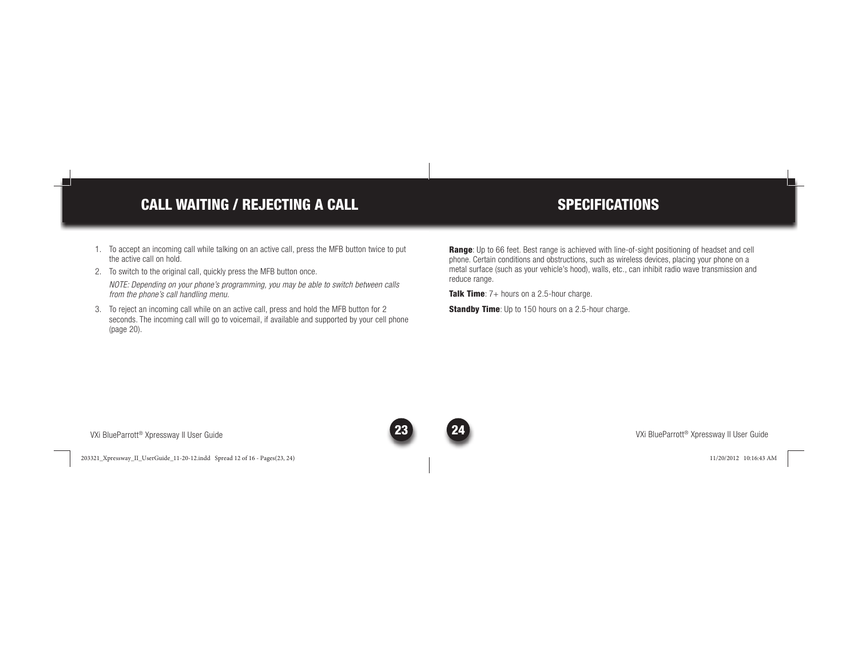# CALL WAITING / REJECTING A CALL

## **SPECIFICATIONS**

- 1. To accept an incoming call while talking on an active call, press the MFB button twice to put the active call on hold.
- 2. To switch to the original call, quickly press the MFB button once. *NOTE: Depending on your phone's programming, you may be able to switch between calls from the phone's call handling menu.*
- 3. To reject an incoming call while on an active call, press and hold the MFB button for 2 seconds. The incoming call will go to voicemail, if available and supported by your cell phone (page 20).

Range: Up to 66 feet. Best range is achieved with line-of-sight positioning of headset and cell phone. Certain conditions and obstructions, such as wireless devices, placing your phone on a metal surface (such as your vehicle's hood), walls, etc., can inhibit radio wave transmission and reduce range.

**Talk Time**:  $7+$  hours on a 2.5-hour charge.

**Standby Time**: Up to 150 hours on a 2.5-hour charge.

VXi BlueParrott® Xpressway II User Guide

203321\_Xpressway\_II\_UserGuide\_11-20-12.indd Spread 12 of 16 - Pages(23, 24) 03321\_Xpressway\_II\_UserGuide\_11-20-12.indd 11/20/2012 10:16:43 AM 1/20/2012



VXi BlueParrott® Xpressway II User Guide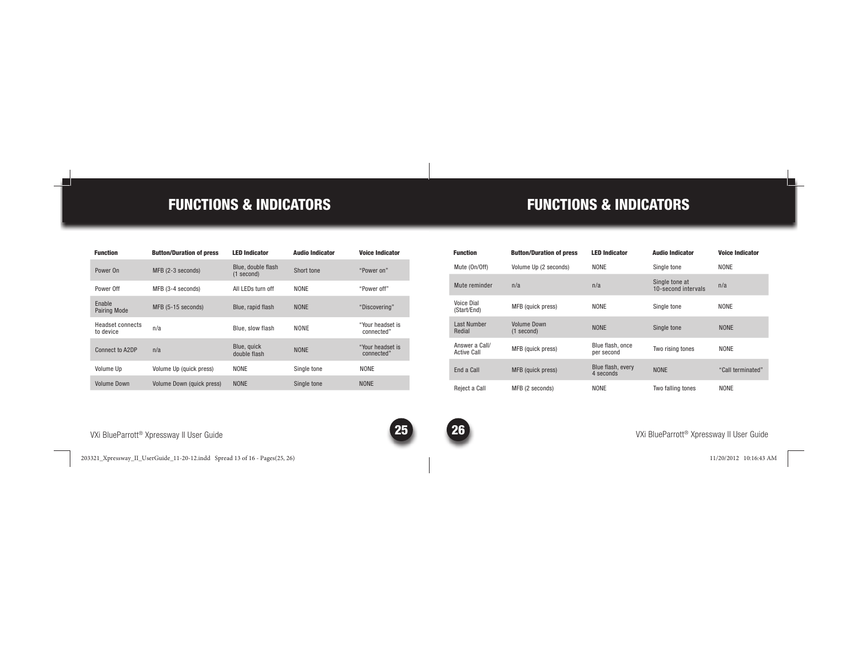## FUNCTIONS & INDICATORS

| <b>Function</b>                      | <b>Button/Duration of press</b>  | <b>IFD Indicator</b>             | <b>Audio Indicator</b> | <b>Voice Indicator</b>         |
|--------------------------------------|----------------------------------|----------------------------------|------------------------|--------------------------------|
| Power On                             | MFB (2-3 seconds)                | Blue, double flash<br>(1 second) | Short tone             | "Power on"                     |
| Power Off                            | MFB (3-4 seconds)                | All I FDs turn off               | <b>NONF</b>            | "Power off"                    |
| Fnable<br>Pairing Mode               | MFB (5-15 seconds)               | Blue, rapid flash                | <b>NONF</b>            | "Discovering"                  |
| <b>Headset connects</b><br>to device | n/a                              | Blue, slow flash                 | <b>NONF</b>            | "Your headset is<br>connected" |
| Connect to A2DP                      | n/a                              | Blue, quick<br>double flash      | <b>NONF</b>            | "Your headset is<br>connected" |
| Volume Up                            | Volume Up (quick press)          | <b>NONF</b>                      | Single tone            | <b>NONF</b>                    |
| <b>Volume Down</b>                   | <b>Volume Down (quick press)</b> | <b>NONF</b>                      | Single tone            | <b>NONF</b>                    |

## FUNCTIONS & INDICATORS

| <b>Function</b>                      | <b>Button/Duration of press</b>    | <b>LED Indicator</b>           | <b>Audio Indicator</b>                | <b>Voice Indicator</b> |
|--------------------------------------|------------------------------------|--------------------------------|---------------------------------------|------------------------|
| Mute (On/Off)                        | Volume Up (2 seconds)              | <b>NONF</b>                    | Single tone                           | <b>NONF</b>            |
| Mute reminder                        | n/a                                | n/a                            | Single tone at<br>10-second intervals | n/a                    |
| Voice Dial<br>(Start/End)            | MFB (quick press)                  | <b>NONF</b>                    | Single tone                           | <b>NONF</b>            |
| I ast Number<br>Redial               | <b>Volume Down</b><br>$(1$ second) | <b>NONF</b>                    | Single tone                           | <b>NONF</b>            |
| Answer a Call/<br><b>Active Call</b> | MFB (quick press)                  | Blue flash, once<br>per second | Two rising tones                      | <b>NONF</b>            |
| Fnd a Call                           | MFB (quick press)                  | Blue flash, every<br>4 seconds | <b>NONF</b>                           | "Call terminated"      |
| Reiect a Call                        | MFB (2 seconds)                    | <b>NONF</b>                    | Two falling tones                     | <b>NONF</b>            |

VXi BlueParrott® Xpressway II User Guide 25

203321\_Xpressway\_II\_UserGuide\_11-20-12.indd Spread 13 of 16 - Pages(25, 26) 03321\_Xpressway\_II\_UserGuide\_11-20-12.indd 11/20/2012 10:16:43 AM 1/20/2012



**26** XXi BlueParrott® Xpressway II User Guide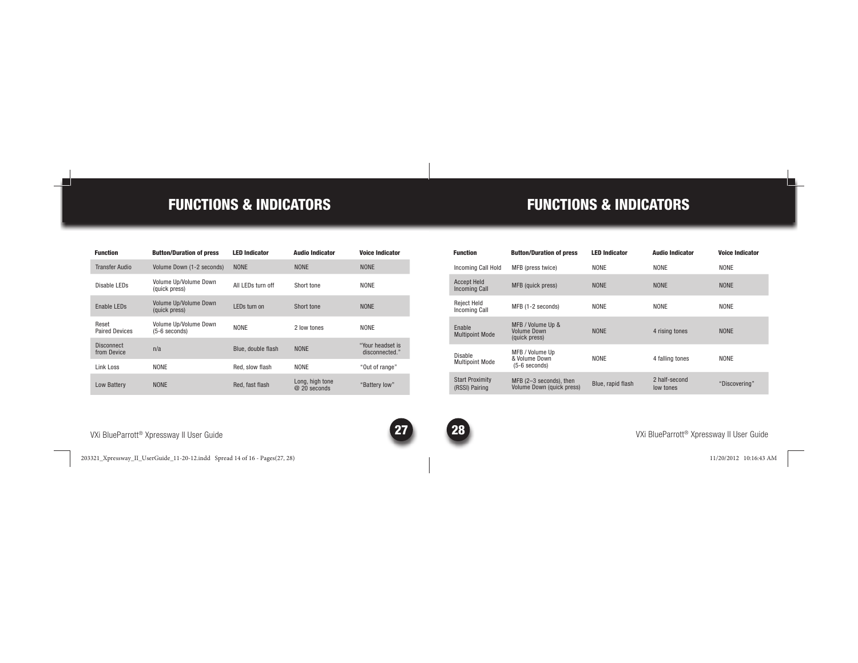## FUNCTIONS & INDICATORS

| <b>Function</b>                  | <b>Button/Duration of press</b>          | <b>IFD Indicator</b> | <b>Audio Indicator</b>          | <b>Voice Indicator</b>             |
|----------------------------------|------------------------------------------|----------------------|---------------------------------|------------------------------------|
| <b>Transfer Audio</b>            | Volume Down (1-2 seconds)                | <b>NONF</b>          | <b>NONF</b>                     | <b>NONE</b>                        |
| Disable I FDs                    | Volume Up/Volume Down<br>(quick press)   | All I FDs turn off   | Short tone                      | <b>NONF</b>                        |
| Fnable I FDs                     | Volume Up/Volume Down<br>(quick press)   | I FDs turn on        | Short tone                      | <b>NONF</b>                        |
| Reset<br><b>Paired Devices</b>   | Volume Up/Volume Down<br>$(5-6$ seconds) | <b>NONF</b>          | 2 low tones                     | <b>NONF</b>                        |
| <b>Disconnect</b><br>from Device | n/a                                      | Blue, double flash   | <b>NONF</b>                     | "Your headset is<br>disconnected." |
| Link Loss                        | <b>NONF</b>                              | Red. slow flash      | <b>NONF</b>                     | "Out of range"                     |
| <b>Low Battery</b>               | <b>NONF</b>                              | Red. fast flash      | Long, high tone<br>@ 20 seconds | "Battery low"                      |

VXi BlueParrott® Xpressway II User Guide 27

203321\_Xpressway\_II\_UserGuide\_11-20-12.indd Spread 14 of 16 - Pages(27, 28) 03321\_Xpressway\_II\_UserGuide\_11-20-12.indd 11/20/2012 10:16:43 AM 1/20/2012

## FUNCTIONS & INDICATORS

| <b>Function</b>                            | <b>Button/Duration of press</b>                          | <b>LED Indicator</b> | <b>Audio Indicator</b>     | <b>Voice Indicator</b> |
|--------------------------------------------|----------------------------------------------------------|----------------------|----------------------------|------------------------|
| Incoming Call Hold                         | MFB (press twice)                                        | <b>NONF</b>          | <b>NONF</b>                | <b>NONF</b>            |
| <b>Accept Held</b><br><b>Incoming Call</b> | MFB (quick press)                                        | <b>NONF</b>          | <b>NONF</b>                | <b>NONF</b>            |
| <b>Reject Held</b><br>Incoming Call        | MFB (1-2 seconds)                                        | <b>NONF</b>          | <b>NONF</b>                | <b>NONF</b>            |
| <b>Fnable</b><br><b>Multipoint Mode</b>    | MFB / Volume Up &<br><b>Volume Down</b><br>(quick press) | <b>NONF</b>          | 4 rising tones             | <b>NONE</b>            |
| Disable<br><b>Multipoint Mode</b>          | MFB / Volume Up<br>& Volume Down<br>(5-6 seconds)        | <b>NONF</b>          | 4 falling tones            | <b>NONE</b>            |
| <b>Start Proximity</b><br>(RSSI) Pairing   | MFB (2-3 seconds), then<br>Volume Down (quick press)     | Blue, rapid flash    | 2 half-second<br>low tones | "Discovering"          |

**28** XXi BlueParrott® Xpressway II User Guide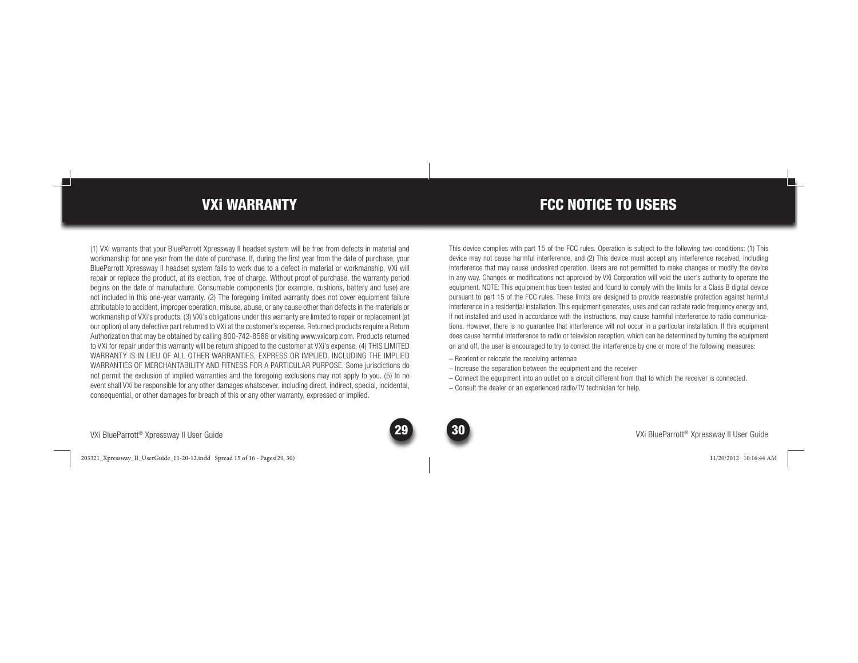## VXi WARRANTY

(1) VXi warrants that your BlueParrott Xpressway II headset system will be free from defects in material and workmanship for one year from the date of purchase. If, during the first year from the date of purchase, your BlueParrott Xpressway II headset system fails to work due to a defect in material or workmanship, VXi will repair or replace the product, at its election, free of charge. Without proof of purchase, the warranty period begins on the date of manufacture. Consumable components (for example, cushions, battery and fuse) are not included in this one-year warranty. (2) The foregoing limited warranty does not cover equipment failure attributable to accident, improper operation, misuse, abuse, or any cause other than defects in the materials or workmanship of VXi's products. (3) VXi's obligations under this warranty are limited to repair or replacement (at our option) of any defective part returned to VXi at the customer's expense. Returned products require a Return Authorization that may be obtained by calling 800-742-8588 or visiting www.vxicorp.com. Products returned to VXi for repair under this warranty will be return shipped to the customer at VXi's expense. (4) THIS LIMITED WARRANTY IS IN LIEU OF ALL OTHER WARRANTIES, EXPRESS OR IMPLIED, INCLUDING THE IMPLIED WARRANTIES OF MERCHANTABILITY AND FITNESS FOR A PARTICULAR PURPOSE. Some jurisdictions do not permit the exclusion of implied warranties and the foregoing exclusions may not apply to you. (5) In no event shall VXi be responsible for any other damages whatsoever, including direct, indirect, special, incidental, consequential, or other damages for breach of this or any other warranty, expressed or implied.

## FCC NOTICE TO USERS

This device complies with part 15 of the FCC rules. Operation is subject to the following two conditions: (1) This device may not cause harmful interference, and (2) This device must accept any interference received, including interference that may cause undesired operation. Users are not permitted to make changes or modify the device in any way. Changes or modifications not approved by VXi Corporation will void the user's authority to operate the equipment. NOTE: This equipment has been tested and found to comply with the limits for a Class B digital device pursuant to part 15 of the FCC rules. These limits are designed to provide reasonable protection against harmful interference in a residential installation. This equipment generates, uses and can radiate radio frequency energy and, if not installed and used in accordance with the instructions, may cause harmful interference to radio communications. However, there is no guarantee that interference will not occur in a particular installation. If this equipment does cause harmful interference to radio or television reception, which can be determined by turning the equipment on and off, the user is encouraged to try to correct the interference by one or more of the following measures:

- Reorient or relocate the receiving antennae
- Increase the separation between the equipment and the receiver
- Connect the equipment into an outlet on a circuit different from that to which the receiver is connected.
- Consult the dealer or an experienced radio/TV technician for help.

VXi BlueParrott® Xpressway II User Guide

203321\_Xpressway\_II\_UserGuide\_11-20-12.indd Spread 15 of 16 - Pages(29, 30) 03321\_Xpressway\_II\_UserGuide\_11-20-12.indd 11/20/2012 10:16:44 AM 1/20/2012